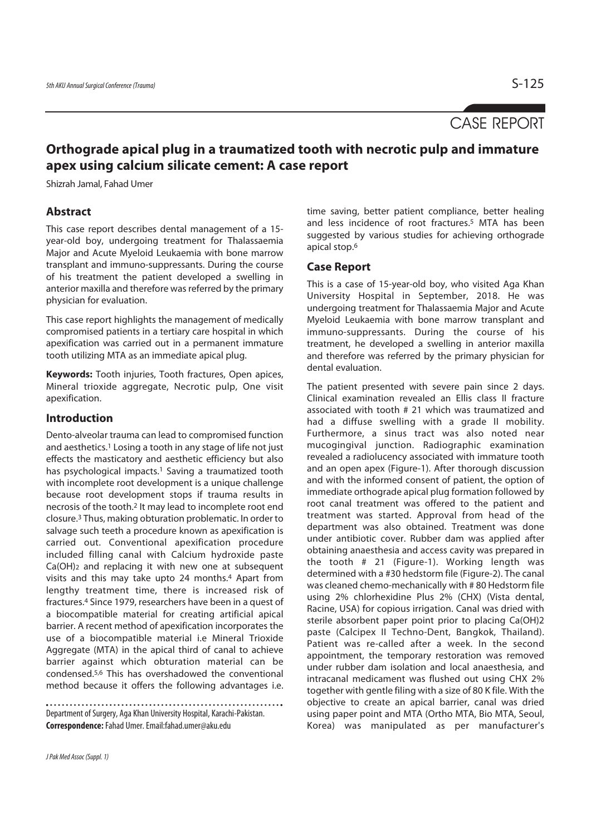# CASE REPORT

## **Orthograde apical plug in a traumatized tooth with necrotic pulp and immature apex using calcium silicate cement: A case report**

Shizrah Jamal, Fahad Umer

#### **Abstract**

This case report describes dental management of a 15 year-old boy, undergoing treatment for Thalassaemia Major and Acute Myeloid Leukaemia with bone marrow transplant and immuno-suppressants. During the course of his treatment the patient developed a swelling in anterior maxilla and therefore was referred by the primary physician for evaluation.

This case report highlights the management of medically compromised patients in a tertiary care hospital in which apexification was carried out in a permanent immature tooth utilizing MTA as an immediate apical plug.

**Keywords:** Tooth injuries, Tooth fractures, Open apices, Mineral trioxide aggregate, Necrotic pulp, One visit apexification.

### **Introduction**

Dento-alveolar trauma can lead to compromised function and aesthetics.<sup>1</sup> Losing a tooth in any stage of life not just effects the masticatory and aesthetic efficiency but also has psychological impacts.<sup>1</sup> Saving a traumatized tooth with incomplete root development is a unique challenge because root development stops if trauma results in necrosis of the tooth.2 It may lead to incomplete root end closure.3 Thus, making obturation problematic. In order to salvage such teeth a procedure known as apexification is carried out. Conventional apexification procedure included filling canal with Calcium hydroxide paste Ca(OH)2 and replacing it with new one at subsequent visits and this may take upto 24 months.4 Apart from lengthy treatment time, there is increased risk of fractures.4 Since 1979, researchers have been in a quest of a biocompatible material for creating artificial apical barrier. A recent method of apexification incorporates the use of a biocompatible material i.e Mineral Trioxide Aggregate (MTA) in the apical third of canal to achieve barrier against which obturation material can be condensed.5,6 This has overshadowed the conventional method because it offers the following advantages i.e.

Department of Surgery, Aga Khan University Hospital, Karachi-Pakistan. **Correspondence:** Fahad Umer. Email:fahad.umer@aku.edu

time saving, better patient compliance, better healing and less incidence of root fractures.<sup>5</sup> MTA has been suggested by various studies for achieving orthograde apical stop.6

#### **Case Report**

This is a case of 15-year-old boy, who visited Aga Khan University Hospital in September, 2018. He was undergoing treatment for Thalassaemia Major and Acute Myeloid Leukaemia with bone marrow transplant and immuno-suppressants. During the course of his treatment, he developed a swelling in anterior maxilla and therefore was referred by the primary physician for dental evaluation.

The patient presented with severe pain since 2 days. Clinical examination revealed an Ellis class II fracture associated with tooth # 21 which was traumatized and had a diffuse swelling with a grade II mobility. Furthermore, a sinus tract was also noted near mucogingival junction. Radiographic examination revealed a radiolucency associated with immature tooth and an open apex (Figure-1). After thorough discussion and with the informed consent of patient, the option of immediate orthograde apical plug formation followed by root canal treatment was offered to the patient and treatment was started. Approval from head of the department was also obtained. Treatment was done under antibiotic cover. Rubber dam was applied after obtaining anaesthesia and access cavity was prepared in the tooth # 21 (Figure-1). Working length was determined with a #30 hedstorm file (Figure-2). The canal was cleaned chemo-mechanically with # 80 Hedstorm file using 2% chlorhexidine Plus 2% (CHX) (Vista dental, Racine, USA) for copious irrigation. Canal was dried with sterile absorbent paper point prior to placing Ca(OH)2 paste (Calcipex II Techno-Dent, Bangkok, Thailand). Patient was re-called after a week. In the second appointment, the temporary restoration was removed under rubber dam isolation and local anaesthesia, and intracanal medicament was flushed out using CHX 2% together with gentle filing with a size of 80 K file. With the objective to create an apical barrier, canal was dried using paper point and MTA (Ortho MTA, Bio MTA, Seoul, Korea) was manipulated as per manufacturer's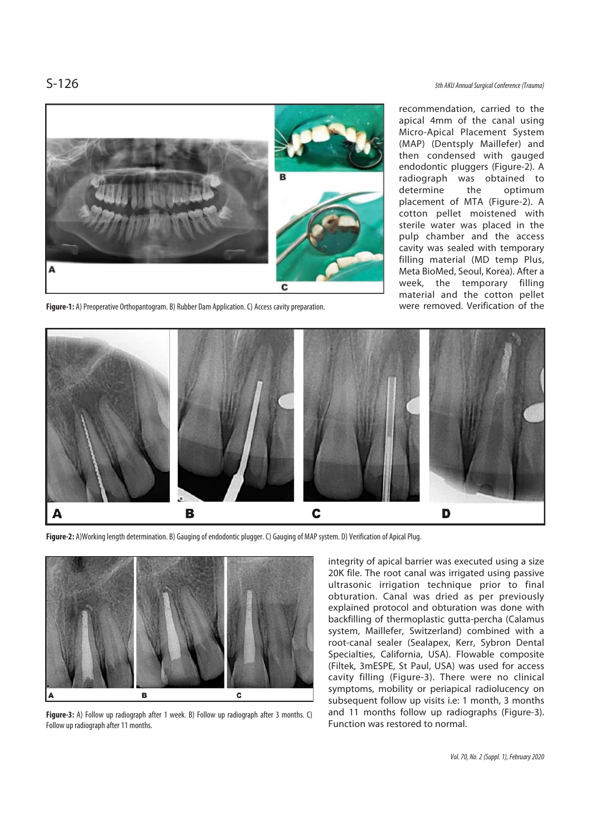

**Figure-1:** A) Preoperative Orthopantogram. B) Rubber Dam Application. C) Access cavity preparation.

S-126 5th AKU Annual Surgical Conference (Trauma)

recommendation, carried to the apical 4mm of the canal using Micro-Apical Placement System (MAP) (Dentsply Maillefer) and then condensed with gauged endodontic pluggers (Figure-2). A radiograph was obtained to determine the optimum placement of MTA (Figure-2). A cotton pellet moistened with sterile water was placed in the pulp chamber and the access cavity was sealed with temporary filling material (MD temp Plus, Meta BioMed, Seoul, Korea). After a week, the temporary filling material and the cotton pellet were removed. Verification of the



**Figure-2:** A)Working length determination. B) Gauging of endodontic plugger. C) Gauging of MAP system. D) Verification of Apical Plug.



**Figure-3:** A) Follow up radiograph after 1 week. B) Follow up radiograph after 3 months. C) Follow up radiograph after 11 months.

integrity of apical barrier was executed using a size 20K file. The root canal was irrigated using passive ultrasonic irrigation technique prior to final obturation. Canal was dried as per previously explained protocol and obturation was done with backfilling of thermoplastic gutta-percha (Calamus system, Maillefer, Switzerland) combined with a root-canal sealer (Sealapex, Kerr, Sybron Dental Specialties, California, USA). Flowable composite (Filtek, 3mESPE, St Paul, USA) was used for access cavity filling (Figure-3). There were no clinical symptoms, mobility or periapical radiolucency on subsequent follow up visits i.e: 1 month, 3 months and 11 months follow up radiographs (Figure-3). Function was restored to normal.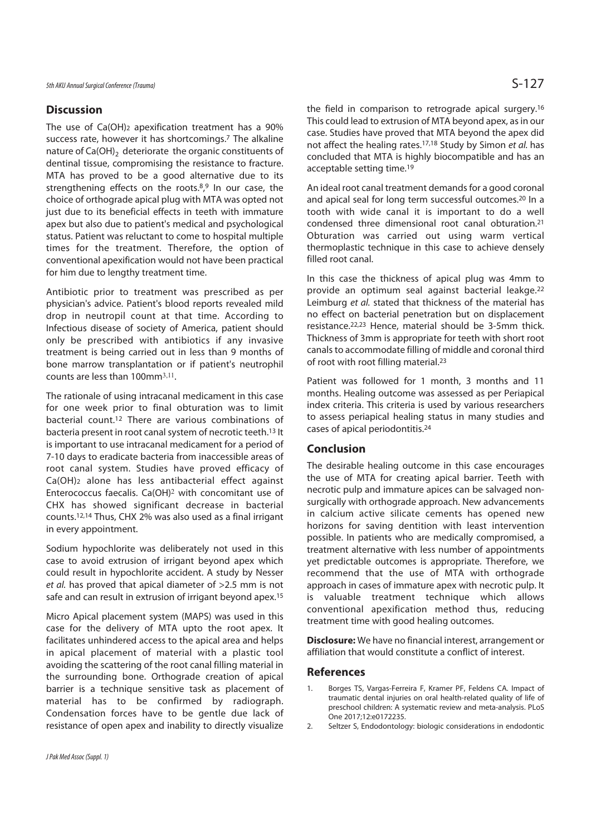### **Discussion**

The use of Ca(OH)2 apexification treatment has a 90% success rate, however it has shortcomings.7 The alkaline nature of Ca(OH)<sub>2</sub> deteriorate the organic constituents of dentinal tissue, compromising the resistance to fracture. MTA has proved to be a good alternative due to its strengthening effects on the roots.<sup>8,9</sup> In our case, the choice of orthograde apical plug with MTA was opted not just due to its beneficial effects in teeth with immature apex but also due to patient's medical and psychological status. Patient was reluctant to come to hospital multiple times for the treatment. Therefore, the option of conventional apexification would not have been practical for him due to lengthy treatment time.

Antibiotic prior to treatment was prescribed as per physician's advice. Patient's blood reports revealed mild drop in neutropil count at that time. According to Infectious disease of society of America, patient should only be prescribed with antibiotics if any invasive treatment is being carried out in less than 9 months of bone marrow transplantation or if patient's neutrophil counts are less than 100mm3,11.

The rationale of using intracanal medicament in this case for one week prior to final obturation was to limit bacterial count.12 There are various combinations of bacteria present in root canal system of necrotic teeth.13 It is important to use intracanal medicament for a period of 7-10 days to eradicate bacteria from inaccessible areas of root canal system. Studies have proved efficacy of Ca(OH)2 alone has less antibacterial effect against Enterococcus faecalis. Ca(OH)2 with concomitant use of CHX has showed significant decrease in bacterial counts.12,14 Thus, CHX 2% was also used as a final irrigant in every appointment.

Sodium hypochlorite was deliberately not used in this case to avoid extrusion of irrigant beyond apex which could result in hypochlorite accident. A study by Nesser et al. has proved that apical diameter of >2.5 mm is not safe and can result in extrusion of irrigant beyond apex.15

Micro Apical placement system (MAPS) was used in this case for the delivery of MTA upto the root apex. It facilitates unhindered access to the apical area and helps in apical placement of material with a plastic tool avoiding the scattering of the root canal filling material in the surrounding bone. Orthograde creation of apical barrier is a technique sensitive task as placement of material has to be confirmed by radiograph. Condensation forces have to be gentle due lack of resistance of open apex and inability to directly visualize

the field in comparison to retrograde apical surgery.16 This could lead to extrusion of MTA beyond apex, as in our case. Studies have proved that MTA beyond the apex did not affect the healing rates.<sup>17,18</sup> Study by Simon et al. has concluded that MTA is highly biocompatible and has an acceptable setting time.19

An ideal root canal treatment demands for a good coronal and apical seal for long term successful outcomes.20 In a tooth with wide canal it is important to do a well condensed three dimensional root canal obturation.21 Obturation was carried out using warm vertical thermoplastic technique in this case to achieve densely filled root canal.

In this case the thickness of apical plug was 4mm to provide an optimum seal against bacterial leakge.22 Leimburg et al. stated that thickness of the material has no effect on bacterial penetration but on displacement resistance.22,23 Hence, material should be 3-5mm thick. Thickness of 3mm is appropriate for teeth with short root canals to accommodate filling of middle and coronal third of root with root filling material.23

Patient was followed for 1 month, 3 months and 11 months. Healing outcome was assessed as per Periapical index criteria. This criteria is used by various researchers to assess periapical healing status in many studies and cases of apical periodontitis.24

#### **Conclusion**

The desirable healing outcome in this case encourages the use of MTA for creating apical barrier. Teeth with necrotic pulp and immature apices can be salvaged nonsurgically with orthograde approach. New advancements in calcium active silicate cements has opened new horizons for saving dentition with least intervention possible. In patients who are medically compromised, a treatment alternative with less number of appointments yet predictable outcomes is appropriate. Therefore, we recommend that the use of MTA with orthograde approach in cases of immature apex with necrotic pulp. It is valuable treatment technique which allows conventional apexification method thus, reducing treatment time with good healing outcomes.

**Disclosure:** We have no financial interest, arrangement or affiliation that would constitute a conflict of interest.

#### **References**

- 1. Borges TS, Vargas-Ferreira F, Kramer PF, Feldens CA. Impact of traumatic dental injuries on oral health-related quality of life of preschool children: A systematic review and meta-analysis. PLoS One 2017;12:e0172235.
- 2. Seltzer S, Endodontology: biologic considerations in endodontic